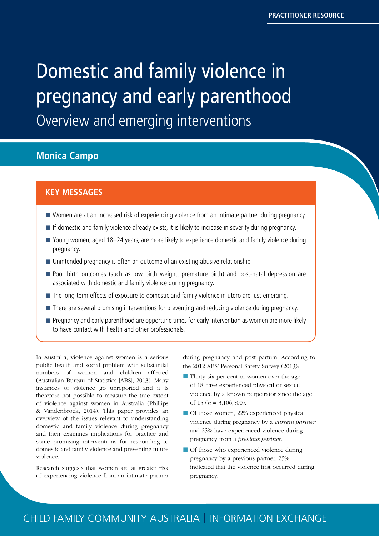# <span id="page-0-0"></span>Domestic and family violence in pregnancy and early parenthood Overview and emerging interventions

# **Monica Campo**

### **KEY MESSAGES**

- Women are at an increased risk of experiencing violence from an intimate partner during pregnancy.
- If domestic and family violence already exists, it is likely to increase in severity during pregnancy.
- Young women, aged 18–24 years, are more likely to experience domestic and family violence during pregnancy.
- Unintended pregnancy is often an outcome of an existing abusive relationship.
- **Poor birth outcomes (such as low birth weight, premature birth) and post-natal depression are** associated with domestic and family violence during pregnancy.
- The long-term effects of exposure to domestic and family violence in utero are just emerging.
- There are several promising interventions for preventing and reducing violence during pregnancy.
- **Pregnancy and early parenthood are opportune times for early intervention as women are more likely** to have contact with health and other professionals.

In Australia, violence against women is a serious public health and social problem with substantial numbers of women and children affected (Australian Bureau of Statistics [ABS], 2013). Many instances of violence go unreported and it is therefore not possible to measure the true extent of violence against women in Australia (Phillips & Vandenbroek, 2014). This paper provides an overview of the issues relevant to understanding domestic and family violence during pregnancy and then examines implications for practice and some promising interventions for responding to domestic and family violence and preventing future violence.

Research suggests that women are at greater risk of experiencing violence from an intimate partner during pregnancy and post partum. According to the 2012 ABS' Personal Safety Survey (2013):

- Thirty-six per cent of women over the age of 18 have experienced physical or sexual violence by a known perpetrator since the age of 15 (*n* = 3,106,500).
- Of those women, 22% experienced physical violence during pregnancy by a *current partner*  and 25% have experienced violence during pregnancy from a *previous partner*.
- **Of those who experienced violence during** pregnancy by a previous partner, 25% indicated that the violence first occurred during pregnancy.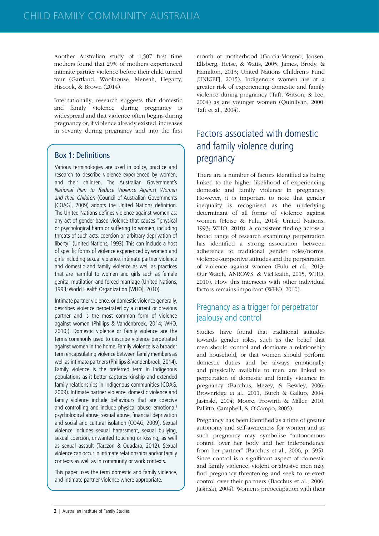Another Australian study of 1,507 first time mothers found that 29% of mothers experienced intimate partner violence before their child turned four (Gartland, Woolhouse, Mensah, Hegarty, Hiscock, & Brown (2014).

Internationally, research suggests that domestic and family violence during pregnancy is widespread and that violence often begins during pregnancy or, if violence already existed, increases in severity during pregnancy and into the first

#### Box 1: Definitions

Various terminologies are used in policy, practice and research to describe violence experienced by women, and their children. The Australian Government's National Plan to Reduce Violence Against Women and their Children (Council of Australian Governments [COAG], 2009) adopts the United Nations definition. The United Nations defines violence against women as: any act of gender-based violence that causes "physical or psychological harm or suffering to women, including threats of such acts, coercion or arbitrary deprivation of liberty" (United Nations, 1993). This can include a host of specific forms of violence experienced by women and girls including sexual violence, intimate partner violence and domestic and family violence as well as practices that are harmful to women and girls such as female genital mutilation and forced marriage (United Nations, 1993; World Health Organization [WHO], 2010).

Intimate partner violence, or domestic violence generally, describes violence perpetrated by a current or previous partner and is the most common form of violence against women (Phillips & Vandenbroek, 2014; WHO, 2010;). Domestic violence or family violence are the terms commonly used to describe violence perpetrated against women in the home. Family violence is a broader term encapsulating violence between family members as well as intimate partners (Phillips & Vandenbroek, 2014). Family violence is the preferred term in Indigenous populations as it better captures kinship and extended family relationships in Indigenous communities (COAG, 2009). Intimate partner violence, domestic violence and family violence include behaviours that are coercive and controlling and include physical abuse, emotional/ psychological abuse, sexual abuse, financial deprivation and social and cultural isolation (COAG, 2009). Sexual violence includes sexual harassment, sexual bullying, sexual coercion, unwanted touching or kissing, as well as sexual assault (Tarczon & Quadara, 2012). Sexual violence can occur in intimate relationships and/or family contexts as well as in community or work contexts.

This paper uses the term domestic and family violence, and intimate partner violence where appropriate.

month of motherhood (Garcia-Moreno, Jansen, Ellsberg, Heise, & Watts, 2005; James, Brody, & Hamilton, 2013; United Nations Children's Fund [UNICEF], 2015). Indigenous women are at a greater risk of experiencing domestic and family violence during pregnancy (Taft, Watson, & Lee, 2004) as are younger women (Quinlivan, 2000; Taft et al., 2004).

# Factors associated with domestic and family violence during pregnancy

There are a number of factors identified as being linked to the higher likelihood of experiencing domestic and family violence in pregnancy. However, it is important to note that gender inequality is recognised as the underlying determinant of all forms of violence against women (Heise & Fulu, 2014; United Nations, 1993; WHO, 2010). A consistent finding across a broad range of research examining perpetration has identified a strong association between adherence to traditional gender roles/norms, violence-supportive attitudes and the perpetration of violence against women (Fulu et al., 2013; Our Watch, ANROWS, & VicHealth, 2015; WHO, 2010). How this intersects with other individual factors remains important (WHO, 2010).

# Pregnancy as a trigger for perpetrator jealousy and control

Studies have found that traditional attitudes towards gender roles, such as the belief that men should control and dominate a relationship and household, or that women should perform domestic duties and be always emotionally and physically available to men, are linked to perpetration of domestic and family violence in pregnancy (Bacchus, Mezey, & Bewley, 2006; Brownridge et al., 2011; Burch & Gallup, 2004; Jasinski, 2004; Moore, Frowirth & Miller, 2010; Pallitto, Campbell, & O'Campo, 2005).

Pregnancy has been identified as a time of greater autonomy and self-awareness for women and as such pregnancy may symbolise "autonomous control over her body and her independence from her partner" (Bacchus et al., 2006, p. 595). Since control is a significant aspect of domestic and family violence, violent or abusive men may find pregnancy threatening and seek to re-exert control over their partners (Bacchus et al., 2006; Jasinski, 2004). Women's preoccupation with their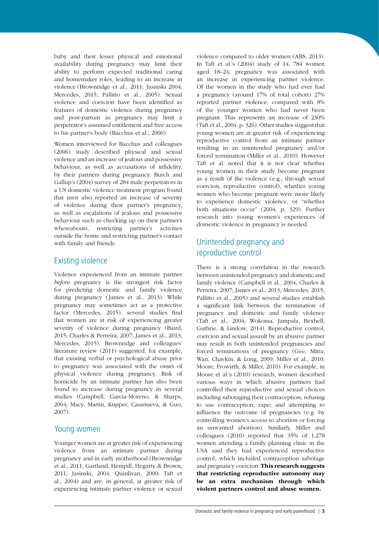baby and their lesser physical and emotional availability during pregnancy may limit their ability to perform expected traditional caring and homemaker roles, leading to an increase in violence (Brownridge et al., 2011; Jasinski 2004; Mercedes, 2015; Pallitto et al., 2005). Sexual violence and coercion have been identified as features of domestic violence during pregnancy and post-partum as pregnancy may limit a perpetrator's assumed entitlement and free access to his partner's body (Bacchus et al., 2006).

Women interviewed for Bacchus and colleagues (2006) study described physical and sexual violence and an increase of jealous and possessive behaviour, as well as accusations of infidelity, by their partners during pregnancy. Burch and Gallup's (2004) survey of 284 male perpetrators in a US domestic violence treatment program found that men also reported an increase of severity of violence during their partner's pregnancy, as well as escalations of jealous and possessive behaviour such as checking up on their partner's whereabouts, restricting partner's activities outside the home and restricting partner's contact with family and friends.

#### Existing violence

Violence experienced from an intimate partner *before* pregnancy is the strongest risk factor for predicting domestic and family violence during pregnancy (James et al., 2013). While pregnancy may sometimes act as a protective factor (Mercedes, 2015), several studies find that women are at risk of experiencing greater severity of violence during pregnancy (Baird, 2015; Charles & Perreira, 2007; James et al., 2013; Mercedes, 2015). Brownridge and colleagues' literature review (2011) suggested, for example, that existing verbal or psychological abuse prior to pregnancy was associated with the onset of physical violence during pregnancy. Risk of homicide by an intimate partner has also been found to increase during pregnancy in several studies (Campbell, Garcia-Moreno, & Sharps, 2004; Macy, Martin, Kupper, Casanueva, & Guo, 2007).

#### Young women

Younger women are at greater risk of experiencing violence from an intimate partner during pregnancy and in early motherhood (Brownridge et al., 2011; Gartland, Hempill, Hegarty & Brown, 2011; Jasinski, 2004; Quinlivan, 2000; Taft et al., 2004) and are, in general, at greater risk of experiencing intimate partner violence or sexual

violence compared to older women (ABS, 2013). In Taft et al.'s (2004) study of 14, 784 women aged 18–24, pregnancy was associated with an increase in experiencing partner violence. Of the women in the study who had ever had a pregnancy (around 17% of total cohort) 27% reported partner violence, compared with 8% of the younger women who had never been pregnant. This represents an increase of 230% (Taft et al., 2004, p. 326). Other studies suggest that young women are at greater risk of experiencing reproductive control from an intimate partner resulting in an unintended pregnancy and/or forced termination (Miller et al., 2010). However Taft et al. noted that it is not clear whether young women in their study become pregnant as a result of the violence (e.g., through sexual coercion, reproductive control), whether young women who become pregnant were more likely to experience domestic violence, or "whether both situations occur" (2004, p. 329). Further research into young women's experiences of domestic violence in pregnancy is needed.

# Unintended pregnancy and reproductive control

There is a strong correlation in the research between unintended pregnancy and domestic and family violence (Campbell et al., 2004; Charles & Perreira, 2007; James et al., 2013; Mercedes, 2015; Pallitto et al., 2005) and several studies establish a significant link between the termination of pregnancy and domestic and family violence (Taft et al., 2004; Wokoma, Jampala, Bexhell, Guthrie, & Lindow, 2014). Reproductive control, coercion and sexual assault by an abusive partner may result in both unintended pregnancies and forced terminations of pregnancy (Gee, Mitra, Wan, Chavkin, & Long, 2009; Miller et al., 2010; Moore, Frowirth, & Miller, 2010). For example, in Moore et al.'s (2010) research, women described various ways in which abusive partners had controlled their reproductive and sexual choices including sabotaging their contraception; refusing to use contraception; rape; and attempting to influence the outcome of pregnancies (e.g. by controlling women's access to abortion or forcing an unwanted abortion). Similarly, Miller and colleagues (2010) reported that 35% of 1,278 women attending a family planning clinic in the USA said they had experienced reproductive control, which included contraception sabotage and pregnancy coercion. This research suggests that restricting reproductive autonomy may be an extra mechanism through which violent partners control and abuse women.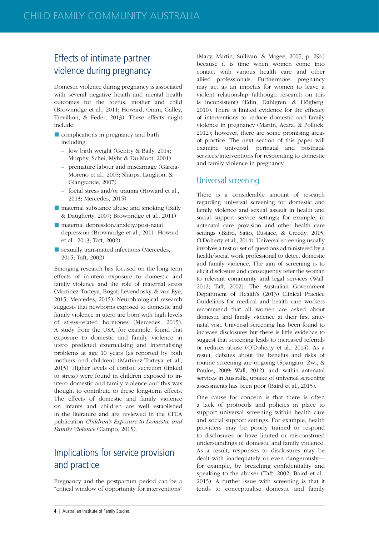# Effects of intimate partner violence during pregnancy

Domestic violence during pregnancy is associated with several negative health and mental health outcomes for the foetus, mother and child (Brownridge et al., 2011; Howard, Oram, Galley, Trevillion, & Feder, 2013). These effects might include:

- complications in pregnancy and birth including:
	- low birth weight (Gentry & Baily, 2014; Murphy, Schei, Myhr & Du Mont, 2001)
	- premature labour and miscarriage (Garcia-Moreno et al., 2005; Sharps, Laughon, & Giangrande, 2007)
	- foetal stress and/or trauma (Howard et al., 2013; Mercedes, 2015)
- maternal substance abuse and smoking (Baily & Daugherty, 2007; Brownridge et al., 2011)
- maternal depression/anxiety/post-natal depression (Brownridge et al., 2011; Howard et al., 2013; Taft, 2002)
- sexually transmitted infections (Mercedes, 2015; Taft, 2002).

Emerging research has focused on the long-term effects of in-utero exposure to domestic and family violence and the role of maternal stress (Martinez-Torteya, Bogat, Levendosky, & von Eye, 2015; Mercedes, 2015). Neurobiological research suggests that newborns exposed to domestic and family violence in utero are born with high levels of stress-related hormones (Mercedes, 2015). A study from the USA, for example, found that exposure to domestic and family violence in utero predicted externalising and internalising problems at age 10 years (as reported by both mothers and children) (Martinez-Torteya et al., 2015). Higher levels of cortisol secretion (linked to stress) were found in children exposed to inutero domestic and family violence and this was thought to contribute to these long-term effects. The effects of domestic and family violence on infants and children are well established in the literature and are reviewed in the CFCA publication *Children's Exposure to Domestic and Family Violence* (Campo, 2015).

# Implications for service provision and practice

Pregnancy and the postpartum period can be a "critical window of opportunity for interventions" (Macy, Martin, Sullivan, & Magee, 2007, p. 296) because it is time when women come into contact with various health care and other allied professionals. Furthermore, pregnancy may act as an impetus for women to leave a violent relationship (although research on this is inconsistent) (Edin, Dahlgren, & Högberg, 2010). There is limited evidence for the efficacy of interventions to reduce domestic and family violence in pregnancy (Martin, Acara, & Pollock, 2012); however, there are some promising areas of practice. The next section of this paper will examine universal, perinatal and postnatal services/interventions for responding to domestic and family violence in pregnancy.

#### Universal screening

There is a considerable amount of research regarding universal screening for domestic and family violence and sexual assault in health and social support service settings; for example, in antenatal care provision and other health care settings (Baird, Saito, Eustace, & Creedy, 2015; O'Doherty et al., 2014). Universal screening usually involves a test or set of questions administered by a health/social work professional to detect domestic and family violence. The aim of screening is to elicit disclosure and consequently refer the woman to relevant community and legal services (Wall, 2012; Taft, 2002). The Australian Government Department of Health's (2013) Clinical Practice Guidelines for medical and health care workers recommend that all women are asked about domestic and family violence at their first antenatal visit. Universal screening has been found to increase disclosures but there is little evidence to suggest that screening leads to increased referrals or reduces abuse (O'Doherty et al., 2014). As a result, debates about the benefits and risks of routine screening are ongoing (Spangaro, Zwi, & Poulos, 2009; Wall, 2012), and, within antenatal services in Australia, uptake of universal screening assessments has been poor (Baird et al., 2015).

One cause for concern is that there is often a lack of protocols and policies in place to support universal screening within health care and social support settings. For example, health providers may be poorly trained to respond to disclosures or have limited or misconstrued understandings of domestic and family violence. As a result, responses to disclosures may be dealt with inadequately or even dangerously for example, by breaching confidentiality and speaking to the abuser (Taft, 2002; Baird et al., 2015). A further issue with screening is that it tends to conceptualise domestic and family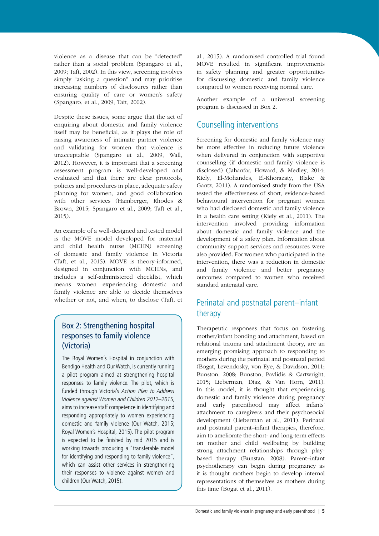violence as a disease that can be "detected" rather than a social problem (Spangaro et al., 2009; Taft, 2002). In this view, screening involves simply "asking a question" and may prioritise increasing numbers of disclosures rather than ensuring quality of care or women's safety (Spangaro, et al., 2009; Taft, 2002).

Despite these issues, some argue that the act of enquiring about domestic and family violence itself may be beneficial, as it plays the role of raising awareness of intimate partner violence and validating for women that violence is unacceptable (Spangaro et al., 2009; Wall, 2012). However, it is important that a screening assessment program is well-developed and evaluated and that there are clear protocols, policies and procedures in place, adequate safety planning for women, and good collaboration with other services (Hamberger, Rhodes & Brown, 2015; Spangaro et al., 2009; Taft et al., 2015).

An example of a well-designed and tested model is the MOVE model developed for maternal and child health nurse (MCHN) screening of domestic and family violence in Victoria (Taft, et al., 2015). MOVE is theory-informed, designed in conjunction with MCHNs, and includes a self-administered checklist, which means women experiencing domestic and family violence are able to decide themselves whether or not, and when, to disclose (Taft, et

## Box 2: Strengthening hospital responses to family violence (Victoria)

The Royal Women's Hospital in conjunction with Bendigo Health and Our Watch, is currently running a pilot program aimed at strengthening hospital responses to family violence. The pilot, which is funded through Victoria's Action Plan to Address Violence against Women and Children 2012–2015, aims to increase staff competence in identifying and responding appropriately to women experiencing domestic and family violence (Our Watch, 2015; Royal Women's Hospital, 2015). The pilot program is expected to be finished by mid 2015 and is working towards producing a "transferable model for identifying and responding to family violence", which can assist other services in strengthening their responses to violence against women and children (Our Watch, 2015).

al., 2015). A randomised controlled trial found MOVE resulted in significant improvements in safety planning and greater opportunities for discussing domestic and family violence compared to women receiving normal care.

Another example of a universal screening program is discussed in Box 2.

## Counselling interventions

Screening for domestic and family violence may be more effective in reducing future violence when delivered in conjunction with supportive counselling (if domestic and family violence is disclosed) (Jahanfar, Howard, & Medley, 2014; Kiely, El-Mohandes, El-Khorazaty, Blake & Gantz, 2011). A randomised study from the USA tested the effectiveness of short, evidence-based behavioural intervention for pregnant women who had disclosed domestic and family violence in a health care setting (Kiely et al., 2011). The intervention involved providing information about domestic and family violence and the development of a safety plan. Information about community support services and resources were also provided. For women who participated in the intervention, there was a reduction in domestic and family violence and better pregnancy outcomes compared to women who received standard antenatal care.

# Perinatal and postnatal parent–infant therapy

Therapeutic responses that focus on fostering mother/infant bonding and attachment, based on relational trauma and attachment theory, are an emerging promising approach to responding to mothers during the perinatal and postnatal period (Bogat, Levendosky, von Eye, & Davidson, 2011; Bunston, 2008; Bunston, Pavlidis & Cartwright, 2015; Lieberman, Diaz, & Van Horn, 2011). In this model, it is thought that experiencing domestic and family violence during pregnancy and early parenthood may affect infants' attachment to caregivers and their psychosocial development (Lieberman et al., 2011). Perinatal and postnatal parent–infant therapies, therefore, aim to ameliorate the short- and long-term effects on mother and child wellbeing by building strong attachment relationships through playbased therapy (Bunstan, 2008). Parent–infant psychotherapy can begin during pregnancy as it is thought mothers begin to develop internal representations of themselves as mothers during this time (Bogat et al., 2011).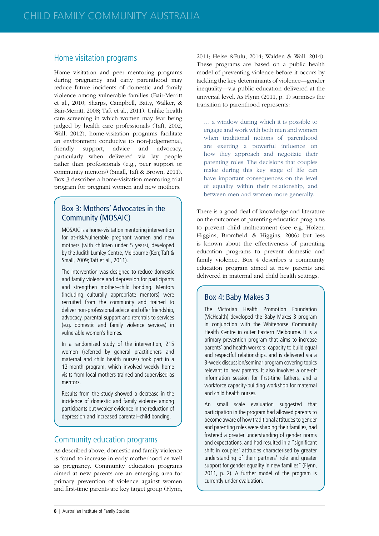### Home visitation programs

Home visitation and peer mentoring programs during pregnancy and early parenthood may reduce future incidents of domestic and family violence among vulnerable families (Bair-Merritt et al., 2010; Sharps, Campbell, Batty, Walker, & Bair-Merritt, 2008; Taft et al., 2011). Unlike health care screening in which women may fear being judged by health care professionals (Taft, 2002, Wall, 2012), home-visitation programs facilitate an environment conducive to non-judgemental, friendly support, advice and advocacy, particularly when delivered via lay people rather than professionals (e.g., peer support or community mentors) (Small, Taft & Brown, 2011). Box 3 describes a home-visitation mentoring trial program for pregnant women and new mothers.

#### Box 3: Mothers' Advocates in the Community (MOSAIC)

MOSAIC is a home-visitation mentoring intervention for at-risk/vulnerable pregnant women and new mothers (with children under 5 years), developed by the Judith Lumley Centre, Melbourne (Kerr, Taft & Small, 2009; Taft et al., 2011).

The intervention was designed to reduce domestic and family violence and depression for participants and strengthen mother–child bonding. Mentors (including culturally appropriate mentors) were recruited from the community and trained to deliver non-professional advice and offer friendship, advocacy, parental support and referrals to services (e.g. domestic and family violence services) in vulnerable women's homes.

In a randomised study of the intervention, 215 women (referred by general practitioners and maternal and child health nurses) took part in a 12-month program, which involved weekly home visits from local mothers trained and supervised as mentors.

Results from the study showed a decrease in the incidence of domestic and family violence among participants but weaker evidence in the reduction of depression and increased parental–child bonding.

#### Community education programs

As described above, domestic and family violence is found to increase in early motherhood as well as pregnancy. Community education programs aimed at new parents are an emerging area for primary prevention of violence against women and first-time parents are key target group (Flynn,

2011; Heise &Fulu, 2014; Walden & Wall, 2014). These programs are based on a public health model of preventing violence before it occurs by tackling the key determinants of violence—gender inequality—via public education delivered at the universal level. As Flynn (2011, p. 1) surmises the transition to parenthood represents:

… a window during which it is possible to engage and work with both men and women when traditional notions of parenthood are exerting a powerful influence on how they approach and negotiate their parenting roles. The decisions that couples make during this key stage of life can have important consequences on the level of equality within their relationship, and between men and women more generally.

There is a good deal of knowledge and literature on the outcomes of parenting education programs to prevent child maltreatment (see e.g. Holzer, Higgins, Bromfield, & Higgins, 2006) but less is known about the effectiveness of parenting education programs to prevent domestic and family violence. Box 4 describes a community education program aimed at new parents and delivered in maternal and child health settings.

#### Box 4: Baby Makes 3

The Victorian Health Promotion Foundation (VicHealth) developed the Baby Makes 3 program in conjunction with the Whitehorse Community Health Centre in outer Eastern Melbourne. It is a primary prevention program that aims to increase parents' and health workers' capacity to build equal and respectful relationships, and is delivered via a 3-week discussion/seminar program covering topics relevant to new parents. It also involves a one-off information session for first-time fathers, and a workforce capacity-building workshop for maternal and child health nurses.

An small scale evaluation suggested that participation in the program had allowed parents to become aware of how traditional attitudes to gender and parenting roles were shaping their families, had fostered a greater understanding of gender norms and expectations, and had resulted in a "significant shift in couples' attitudes characterised by greater understanding of their partners' role and greater support for gender equality in new families" (Flynn, 2011, p. 2). A further model of the program is currently under evaluation.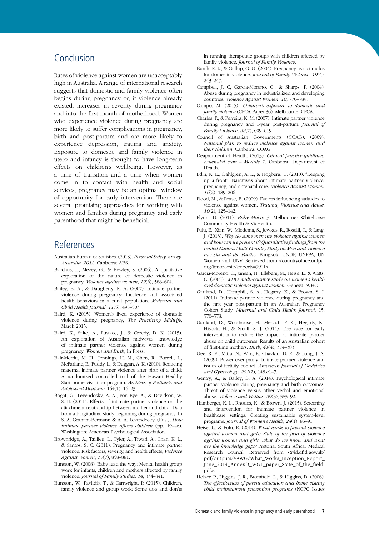## Conclusion

Rates of violence against women are unacceptably high in Australia. A range of international research suggests that domestic and family violence often begins during pregnancy or, if violence already existed, increases in severity during pregnancy and into the first month of motherhood. Women who experience violence during pregnancy are more likely to suffer complications in pregnancy, birth and post-partum and are more likely to experience depression, trauma and anxiety. Exposure to domestic and family violence in utero and infancy is thought to have long-term effects on children's wellbeing. However, as a time of transition and a time when women come in to contact with health and social services, pregnancy may be an optimal window of opportunity for early intervention. There are several promising approaches for working with women and families during pregnancy and early parenthood that might be beneficial.

## References

- Australian Bureau of Statistics. (2013). *Personal Safety Survey, Australia, 2012*. Canberra: ABS.
- Bacchus, L., Mezey, G., & Bewley, S. (2006). A qualitative exploration of the nature of domestic violence in pregnancy, *Violence against women*, *12*(6), 588–604.
- Bailey, B. A., & Daugherty, R. A. (2007). Intimate partner violence during pregnancy: Incidence and associated health behaviors in a rural population. *Maternal and Child Health Journal*, *11*(5), 495–503.
- Baird, K. (2015). Women's lived experience of domestic violence during pregnancy, *The Practicing Midwife*, March 2015.
- Baird, K., Saito, A., Eustace, J., & Creedy, D. K. (2015). An exploration of Australian midwives' knowledge of intimate partner violence against women during pregnancy, *Women and Birth*, In Press.
- Bair-Merritt, M. H., Jennings, H. M., Chen, R., Burrell, L., McFarlane, E., Fuddy, L., & Duggan, A. K. (2010). Reducing maternal intimate partner violence after birth of a child: A randomized controlled trial of the Hawaii Healthy Start home visitation program. *Archives of Pediatric and Adolescent Medicine*, 164(1), 16–23.
- Bogat, G., Levendosky, A. A., von Eye, A., & Davidson, W. S. II. (2011). Effects of intimate partner violence on the attachment relationship between mother and child: Data from a longitudinal study beginning during pregnancy. In S. A. Graham-Bermann & A. A. Levendosky, (Eds.), *How intimate partner violence affects children* (pp. 19–46). Washington: American Psychological Association.
- Brownridge, A., Taillieu, L., Tyler, A., Tiwari, A., Chan, K. L., & Santos, S. C. (2011). Pregnancy and intimate partner violence: Risk factors, severity, and health effects, *Violence Against Women*, *17*(7), 858–881.
- Bunston, W. (2008). Baby lead the way: Mental health group work for infants, children and mothers affected by family violence. *Journal of Family Studies*, *14*, 334–341.
- Bunston, W., Pavlidis, T., & Cartwright, P. (2015). Children, family violence and group work: Some do's and don'ts

in running therapeutic groups with children affected by family violence. *Journal of Family Violence.*

- Burch, R. L., & Gallup, G. G. (2004). Pregnancy as a stimulus for domestic violence. *Journal of Family Violence*, *19*(4), 243–247.
- Campbell, J. C, Garcia-Moreno, C., & Sharps, P. (2004). Abuse during pregnancy in industrialized and developing countries. *Violence Against Women*, *10*, 770–789.
- Campo, M. (2015). *Children's exposure to domestic and family violence* (CFCA Paper 36). Melbourne: CFCA.
- Charles, P., & Perreira, K. M. (2007). Intimate partner violence during pregnancy and 1-year post-partum. *Journal of Family Violence*, *22*(7), 609–619.
- Council of Australian Governments (COAG). (2009). *National plan to reduce violence against women and their children*. Canberra: COAG.
- Deapartment of Health. (2013). *Clinical practice guidlines: Antenatal care – Module 1*. Canberra: Department of Health.
- Edin, K. E., Dahlgren, A. L., & Högberg, U. (2010). "Keeping up a front": Narratives about intimate partner violence, pregnancy, and antenatal care. *Violence Against Women*, *16*(2), 189–206.
- Flood, M., & Pease, B. (2009). Factors influencing attitudes to violence against women. *Trauma, Violence and Abuse*, *10*(2), 125–142.
- Flynn, D. (2011). *Baby Makes 3*. Melbourne: Whitehorse Community Health & VicHealth.
- Fulu, E., Xian, W., Miedema, S., Jewkes, R., Roselli, T., & Lang, J. (2013). *Why do some men use violence against women and how can we prevent it? Quantitative findings from the United Nations Multi-Country Study on Men and Violence in Asia and the Pacific*. Bangkok: UNDP, UNFPA, UN Women and UNV. Retrieved from <countryoffice.unfpa. org/timor-leste/?reports=7901>.
- Garcia-Moreno, C., Jansen, H., Ellsberg, M., Heise, L., & Watts, C. (2005). *WHO multi-country study on women's health and domestic violence against women*. Geneva: WHO.
- Gartland, D., Hemphill, S. A., Hegarty, K., & Brown, S. J. (2011). Intimate partner violence during pregnancy and the first year post-partum in an Australian Pregnancy Cohort Study. *Maternal and Child Health Journal*, 15, 570–578.
- Gartland, D., Woolhouse, H., Mensah, F. K., Hegarty, K,. Hisock, H., & Small, S. J. (2014). The case for early intervention to reduce the impact of intimate partner abuse on child outcomes: Results of an Australian cohort of first-time mothers. *Birth*, *41*(4), 374–383.
- Gee, R. E., Mitra, N., Wan, F., Chavkin, D. E., & Long, J. A. (2009). Power over parity: Intimate partner violence and issues of fertility control. *American Journal of Obstetrics and Gynecology*, *201*(2), 148.e1–7.
- Gentry, A., & Bailey, B. A. (2014). Psychological intimate partner violence during pregnancy and birth outcomes: Threat of violence versus other verbal and emotional abuse. *Violence and Victims*, *29*(3), 383–92.
- Hamberger, K. L., Rhodes, K., & Brown, J. (2015). Screening and intervention for intimate partner violence in healthcare settings: Creating sustainable system-level programs. *Journal of Women's Health*, *24*(1), 86–91.
- Heise, L., & Fulu, E. (2014). *What works to prevent violence against women and girls? State of the field of violence against women and girls: what do we know and what are the knowledge gaps?* Pretoria, South Africa: Medical Research Council. Retrieved from <r4d.dfid.gov.uk/ pdf/outputs/VAWG/What\_Works\_Inception\_Report\_ June\_2014\_AnnexD\_WG1\_paper\_State\_of\_the\_field. pdf>.
- Holzer, P., Higgins, J. R., Bromfield, L., & Higgins, D. (2006). *The effectiveness of parent education and home visiting child maltreatment prevention programs* (NCPC Issues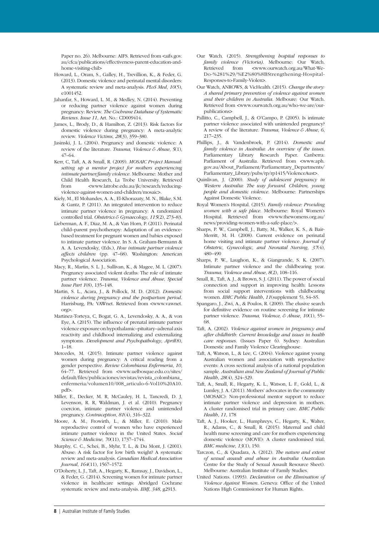Paper no. 26). Melbourne: AIFS. Retrieved from <aifs.gov. au/cfca/publications/effectiveness-parent-education-andhome-visiting-chil>

- Howard, L., Oram, S., Galley, H., Trevillion, K., & Feder, G. (2013). Domestic violence and perinatal mental disorders: A systematic review and meta-analysis. *PLoS Med*, *10*(5), e1001452.
- Jahanfar, S., Howard, L. M., & Medley, N. (2014). Preventing or reducing partner violence against women during pregnancy: Review. *The Cochrane Database of Systematic Reviews*. *Issue 11*, Art. No.: CD009414.
- James, L., Brody, D., & Hamilton, Z. (2013). Risk factors for domestic violence during pregnancy: A meta-analytic review. *Violence Victims*, *28*(3), 359–380.
- Jasinski, J. L. (2004). Pregnancy and domestic violence: A review of the literature. *Trauma, Violence & Abuse*, *5*(1), 47–64.
- Kerr, C, Taft, A, & Small, R. (2009). *MOSAIC Project Manual: setting up a mentor project for mothers experiencing intimate partner/family violence*. Melbourne: Mother and Child Health Research, La Trobe University. Retrieved from <www.latrobe.edu.au/jlc/research/reducingviolence-against-women-and-children/mosaic>.
- Kiely, M., El Mohandes, A. A., El-Khorazaty, M. N., Blake, S.M. & Gantz, P. (2011). An integrated intervention to reduce intimate partner violence in pregnancy: A randomized controlled trial. *Obstetrics & Gynaecology*, *115*(2), 273–83.
- Lieberman, A. F., Diaz, M. A., & Van Horn, P. (2011). Perinatal child–parent psychotherapy: Adaptation of an evidencebased treatment for pregnant women and babies exposed to intimate partner violence. In S. A. Graham-Bermann & A. A. Levendosky, (Eds.), *How intimate partner violence affects children* (pp. 47–68). Washington: American Psychological Association.
- Macy, R., Martin, S. L. J., Sullivan, K., & Magee, M. L. (2007). Pregnancy associated violent deaths: The role of intimate partner violence. *Trauma, Violence and Abuse*, *Special Issue Part 1*(8), 135–148.
- Martin, S. L., Acara, J., & Pollock, M. D. (2012). *Domestic violence during pregnancy and the postpartum period.*  Harrisburg, PA: VAWnet. Retrieved from <www.vawnet. org>.
- Martinez-Torteya, C, Bogat, G. A., Levendosky, A. A., & von Eye, A. (2015). The influence of prenatal intimate partner violence exposure on hypothalamic–pituitary–adrenal axis reactivity and childhood internalizing and externalizing symptoms. *Development and Psychopathology*, *April*(8), 1–18.
- Mercedes, M. (2015). Intimate partner violence against women during pregnancy: A critical reading from a gender perspective. *Review Colombiana Enfermeria*, *10*, 64–77. Retrieved from <www.uelbosque.edu.co/sites/ default/files/publicaciones/revistas/revista\_colombiana\_ enfermeria/volumen10/008\_articulo-6-Vol10%20A10. pdf>.
- Miller, E., Decker, M. R, McCauley, H. L, Tancredi, D. J, Levenson, R. R, Waldman, J. et al. (2010). Pregnancy coercion, intimate partner violence and unintended pregnancy. *Contraception*, *81*(4), 316–322.
- Moore, A. M., Frowirth, L., & Miller, E. (2010). Male reproductive control of women who have experienced intimate partner violence in the United States. *Social Science & Medicine*, *70*(11), 1737–1744.
- Murphy, C. C., Schei, B., Myhr, T. L., & Du Mont, J. (2001). Abuse: A risk factor for low birth weight? A systematic review and meta-analysis. *Canadian Medical Association Journal*, *164*(11), 1567–1572.
- O'Doherty, L. J., Taft, A., Hegarty, K., Ramsay, J., Davidson, L., & Feder, G. (2014). Screening women for intimate partner violence in healthcare settings: Abridged Cochrane systematic review and meta-analysis. *BMJ*, *348*, g2913.
- Our Watch. (2015). *Strengthening hospital responses to family violence (Victoria)*. Melbourne: Our Watch. Retrieved from <www.ourwatch.org.au/What-We-Do-%281%29/%E2%80%8BStrengthening-Hospital-Responses-to-Family-Violen>.
- Our Watch, ANROWS, & VicHealth. (2015). *Change the story: A shared primary prevention of violence against women and their children in Australia*. Melboure: Our Watch. Retrieved from <www.ourwatch.org.au/who-we-are/ourpublications>
- Pallitto, C., Campbell, J., & O'Campo, P. (2005). Is intimate partner violence associated with unintended pregnancy? A review of the literature. *Trauma, Violence & Abuse*, *6*, 217–235.
- Phillips, J., & Vandenbroek, P. (2014). *Domestic and family violence in Australia: An overview of the issues*. Parliamentary Library Research Paper. Canberra: Parliament of Australia. Retrieved from <www.aph. gov.au/About\_Parliament/Parliamentary\_Departments/ Parliamentary\_Library/pubs/rp/rp1415/ViolenceAust>.
- Quinlivan, J. (2000). *Study of adolescent pregnancy in Western Australia: The way forward. Children, young people and domestic violence*. Melbourne: Partnerships Against Domestic Violence.
- Royal Women's Hospital. (2015). *Family violence: Providing women with a safe place*. Melbourne: Royal Women's Hospital. Retrieved from <www.thewomens.org.au/ news/providing-women-with-a-safe-place/>.
- Sharps, P. W., Campbell, J., Batty, M., Walker, K. S., & Bair-Merritt, M. H. (2008). Current evidence on perinatal home visiting and intimate partner violence. *Journal of Obstetric, Gynecologic, and Neonatal Nursing*, *37*(4), 480–490
- Sharps, P. W., Laughon, K., & Giangrande, S. K. (2007). Intimate partner violence and the childbearing year. *Trauma, Violence and Abuse*, *8*(2), 108–116.
- Small, R., Taft, A. J., & Brown, S. J. (2011). The power of social connection and support in improving health: Lessons from social support interventions with childbearing women. *BMC Public Health*, *11*(supplement 5), S4–S5.
- Spangaro, J., Zwi, A., & Poulos, R. (2009). The elusive search for definitive evidence on routine screening for intimate partner violence. *Trauma, Violence, & Abuse*, *10*(1), 55– 68.
- Taft, A. (2002). *Violence against women in pregnancy and after childbirth: Current knowledge and issues in health care responses*. (Issues Paper 6). Sydney: Australian Domestic and Family Violence Clearinghouse.
- Taft, A, Watson, L., & Lee, C. (2004). Violence against young Australian women and association with reproductive events: A cross sectional analysis of a national population sample. *Australian and New Zealand of Journal of Public Health*, *28*(4), 324–329.
- Taft, A., Small, R., Hegarty, K. L., Watson, L. F., Gold, L., & Lumley, J. A. (2011). Mothers' advocates in the community (MOSAIC): Non-professional mentor support to reduce intimate partner violence and depression in mothers. A cluster randomised trial in primary care. *BMC Public Health*, *11*, 178
- Taft, A. J., Hooker, L., Humphreys, C., Hegarty, K., Walter, R., Adams, C., & Small, R. (2015). Maternal and child health nurse screening and care for mothers experiencing domestic violence (MOVE): A cluster randomised trial. *BMC medicine*, *13*(1), 150.
- Tarczon, C., & Quadara, A. (2012). *The nature and extent of sexual assault and abuse in Australia* (Australian Centre for the Study of Sexual Assault Resource Sheet). Melbourne: Australian Institute of Family Studies.
- United Nations. (1993). *Declaration on the Elimination of Violence Against Women*. Geneva: Office of the United Nations High Commissioner for Human Rights.